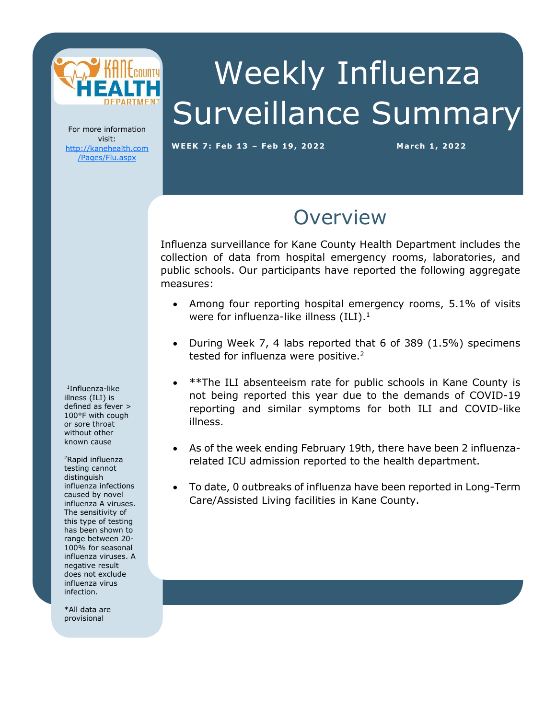

Weekly Influenza Surveillance Summary

For more information visit: [http://kanehealth.com](http://kanehealth.com/Pages/Flu.aspx) [/Pages/Flu.aspx](http://kanehealth.com/Pages/Flu.aspx)

**WEEK 7: Feb 1 3 – Feb 19, 2 0 2 2 March 1, 2 0 22**

data that make this monitoring possible.

## **Overview**

Influenza surveillance for Kane County Health Department includes the collection of data from hospital emergency rooms, laboratories, and public schools. Our participants have reported the following aggregate measures:

- Among four reporting hospital emergency rooms, 5.1% of visits were for influenza-like illness  $(ILI).<sup>1</sup>$
- During Week 7, 4 labs reported that 6 of 389 (1.5%) specimens tested for influenza were positive.<sup>2</sup>
- \*\*The ILI absenteeism rate for public schools in Kane County is not being reported this year due to the demands of COVID-19 reporting and similar symptoms for both ILI and COVID-like illness.
- As of the week ending February 19th, there have been 2 influenzarelated ICU admission reported to the health department.
- To date, 0 outbreaks of influenza have been reported in Long-Term Care/Assisted Living facilities in Kane County.

1 Influenza-like illness (ILI) is defined as fever > 100°F with cough or sore throat without other known cause

<sup>2</sup>Rapid influenza testing cannot distinguish influenza infections caused by novel influenza A viruses. The sensitivity of this type of testing has been shown to range between 20- 100% for seasonal influenza viruses. A negative result does not exclude influenza virus infection.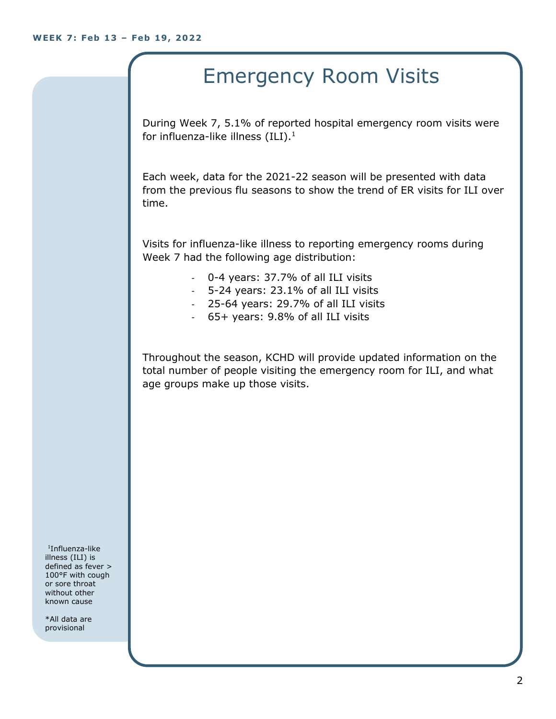# Emergency Room Visits

During Week 7, 5.1% of reported hospital emergency room visits were for influenza-like illness  $(III).<sup>1</sup>$ 

Each week, data for the 2021-22 season will be presented with data from the previous flu seasons to show the trend of ER visits for ILI over time.

Visits for influenza-like illness to reporting emergency rooms during Week 7 had the following age distribution:

- 0-4 years: 37.7% of all ILI visits
- 5-24 years: 23.1% of all ILI visits
- 25-64 years: 29.7% of all ILI visits
- 65+ years: 9.8% of all ILI visits

Throughout the season, KCHD will provide updated information on the total number of people visiting the emergency room for ILI, and what age groups make up those visits.

1 Influenza-like illness (ILI) is defined as fever > 100°F with cough or sore throat without other known cause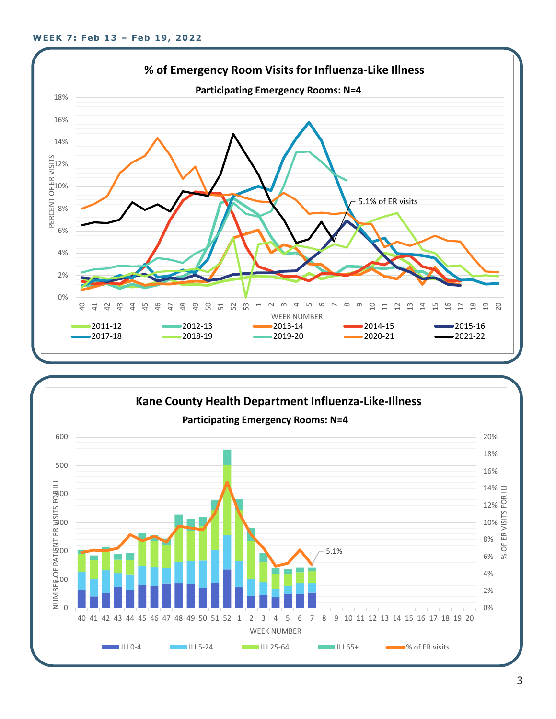

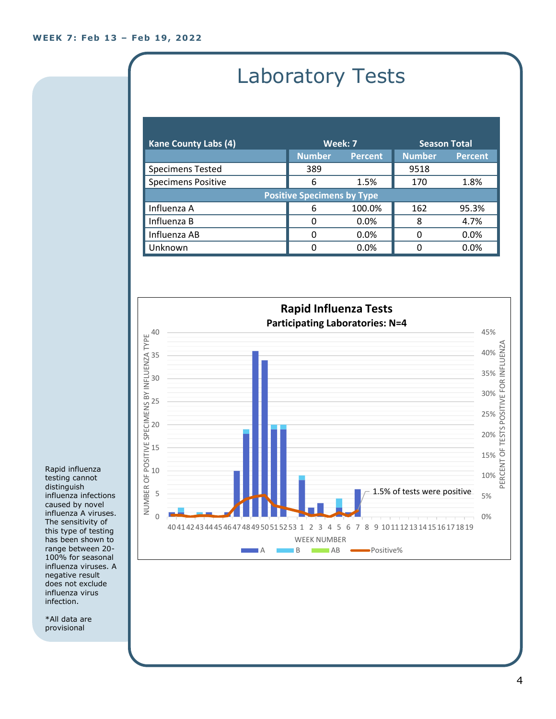# Laboratory Tests

| <b>Kane County Labs (4)</b>       | Week: 7       |                | <b>Season Total</b> |                |  |
|-----------------------------------|---------------|----------------|---------------------|----------------|--|
|                                   | <b>Number</b> | <b>Percent</b> | <b>Number</b>       | <b>Percent</b> |  |
| <b>Specimens Tested</b>           | 389           |                | 9518                |                |  |
| <b>Specimens Positive</b>         | 6             | 1.5%           | 170                 | 1.8%           |  |
| <b>Positive Specimens by Type</b> |               |                |                     |                |  |
| Influenza A                       | 6             | 100.0%         | 162                 | 95.3%          |  |
| Influenza B                       | O             | 0.0%           | 8                   | 4.7%           |  |
| Influenza AB                      | 0             | 0.0%           | ∩                   | 0.0%           |  |
| Unknown                           | O             | $0.0\%$        |                     | 0.0%           |  |



Rapid influenza testing cannot distinguish influenza infections caused by novel influenza A viruses. The sensitivity of this type of testing has been shown to range between 20- 100% for seasonal influenza viruses. A negative result does not exclude influenza virus infection.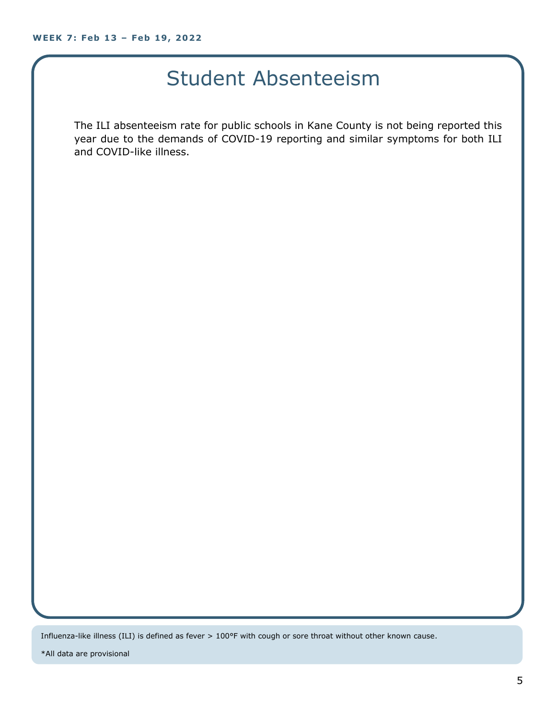### Student Absenteeism

The ILI absenteeism rate for public schools in Kane County is not being reported this year due to the demands of COVID-19 reporting and similar symptoms for both ILI and COVID-like illness.

Influenza-like illness (ILI) is defined as fever > 100°F with cough or sore throat without other known cause.